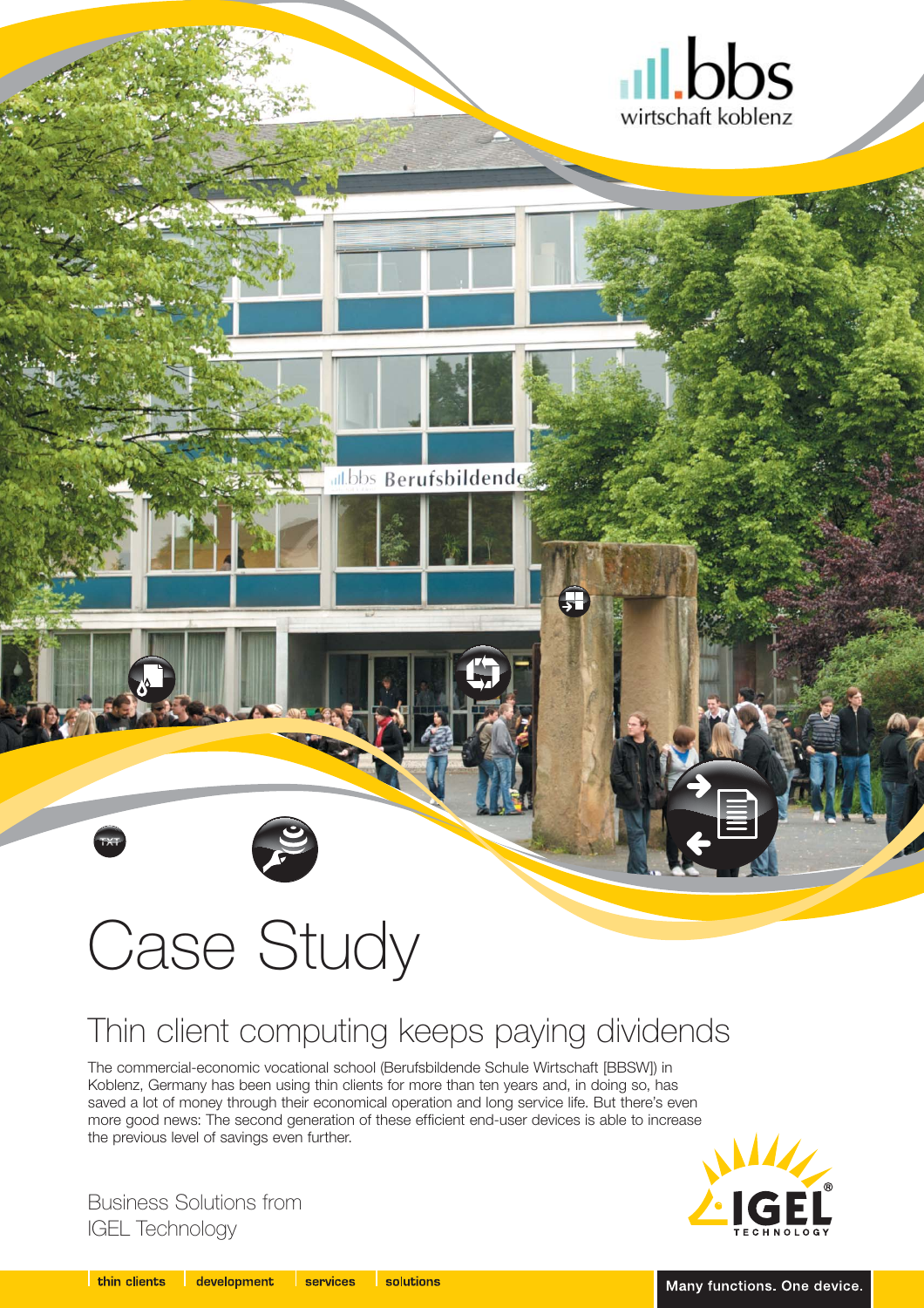

# Case Study

### Thin client computing keeps paying dividends

dl.bbs Berufsbildende

The commercial-economic vocational school (Berufsbildende Schule Wirtschaft [BBSW]) in Koblenz, Germany has been using thin clients for more than ten years and, in doing so, has saved a lot of money through their economical operation and long service life. But there's even more good news: The second generation of these efficient end-user devices is able to increase the previous level of savings even further.



Business Solutions from IGEL Technology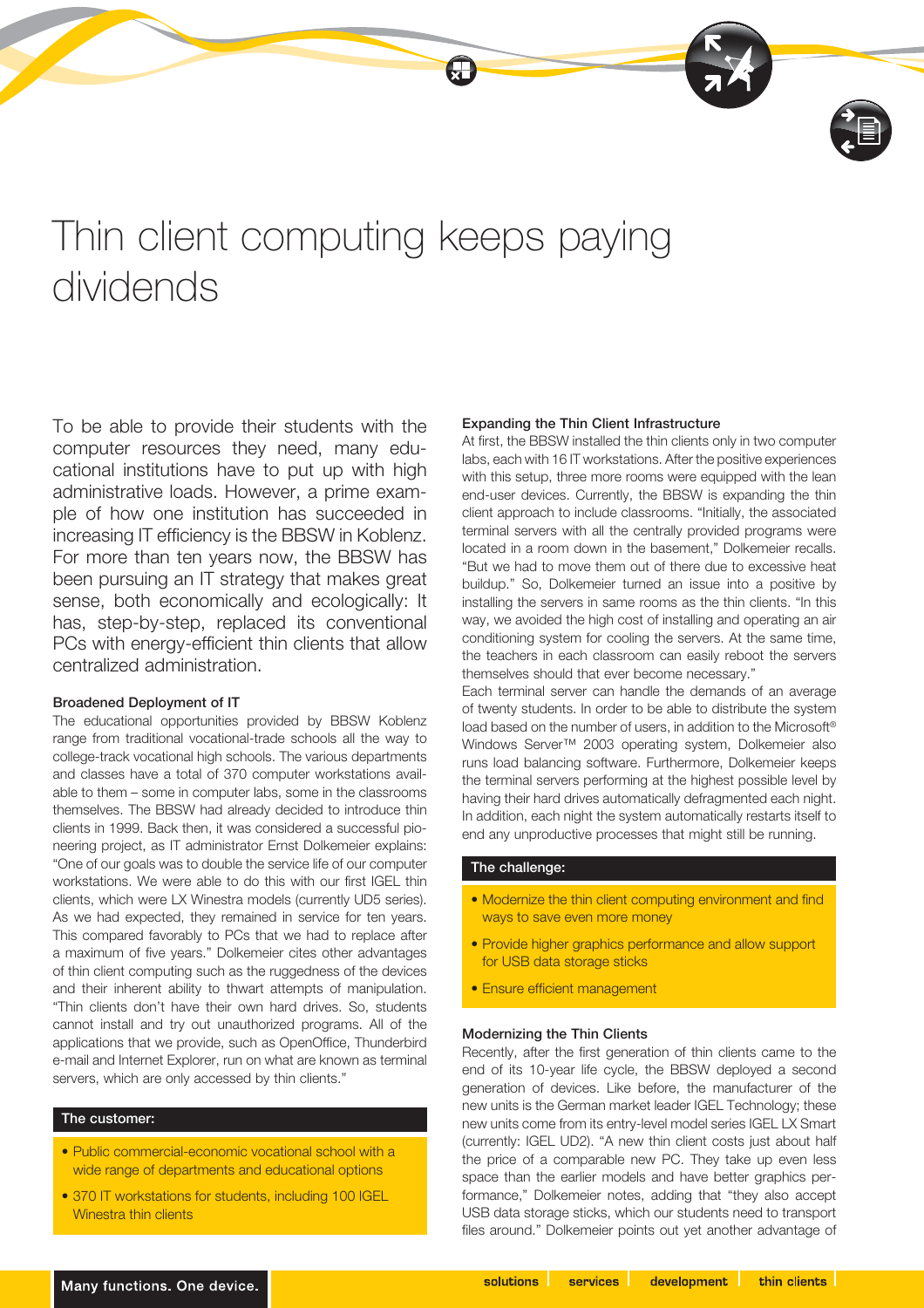

## Thin client computing keeps paying dividends

To be able to provide their students with the computer resources they need, many educational institutions have to put up with high administrative loads. However, a prime example of how one institution has succeeded in increasing IT efficiency is the BBSW in Koblenz. For more than ten years now, the BBSW has been pursuing an IT strategy that makes great sense, both economically and ecologically: It has, step-by-step, replaced its conventional PCs with energy-efficient thin clients that allow centralized administration.

#### Broadened Deployment of IT

The educational opportunities provided by BBSW Koblenz range from traditional vocational-trade schools all the way to college-track vocational high schools. The various departments and classes have a total of 370 computer workstations available to them – some in computer labs, some in the classrooms themselves. The BBSW had already decided to introduce thin clients in 1999. Back then, it was considered a successful pioneering project, as IT administrator Ernst Dolkemeier explains: "One of our goals was to double the service life of our computer workstations. We were able to do this with our first IGEL thin clients, which were LX Winestra models (currently UD5 series). As we had expected, they remained in service for ten years. This compared favorably to PCs that we had to replace after a maximum of five years." Dolkemeier cites other advantages of thin client computing such as the ruggedness of the devices and their inherent ability to thwart attempts of manipulation. "Thin clients don't have their own hard drives. So, students cannot install and try out unauthorized programs. All of the applications that we provide, such as OpenOffice, Thunderbird e-mail and Internet Explorer, run on what are known as terminal servers, which are only accessed by thin clients."

#### The customer:

- Public commercial-economic vocational school with a wide range of departments and educational options
- 370 IT workstations for students, including 100 IGEL Winestra thin clients

#### Expanding the Thin Client Infrastructure

At first, the BBSW installed the thin clients only in two computer labs, each with 16 IT workstations. After the positive experiences with this setup, three more rooms were equipped with the lean end-user devices. Currently, the BBSW is expanding the thin client approach to include classrooms. "Initially, the associated terminal servers with all the centrally provided programs were located in a room down in the basement," Dolkemeier recalls. "But we had to move them out of there due to excessive heat buildup." So, Dolkemeier turned an issue into a positive by installing the servers in same rooms as the thin clients. "In this way, we avoided the high cost of installing and operating an air conditioning system for cooling the servers. At the same time, the teachers in each classroom can easily reboot the servers themselves should that ever become necessary."

Each terminal server can handle the demands of an average of twenty students. In order to be able to distribute the system load based on the number of users, in addition to the Microsoft® Windows Server™ 2003 operating system, Dolkemeier also runs load balancing software. Furthermore, Dolkemeier keeps the terminal servers performing at the highest possible level by having their hard drives automatically defragmented each night. In addition, each night the system automatically restarts itself to end any unproductive processes that might still be running.

#### The challenge:

- Modernize the thin client computing environment and find ways to save even more money
- Provide higher graphics performance and allow support for USB data storage sticks
- Ensure efficient management

#### Modernizing the Thin Clients

Recently, after the first generation of thin clients came to the end of its 10-year life cycle, the BBSW deployed a second generation of devices. Like before, the manufacturer of the new units is the German market leader IGEL Technology; these new units come from its entry-level model series IGEL LX Smart (currently: IGEL UD2). "A new thin client costs just about half the price of a comparable new PC. They take up even less space than the earlier models and have better graphics performance," Dolkemeier notes, adding that "they also accept USB data storage sticks, which our students need to transport files around." Dolkemeier points out yet another advantage of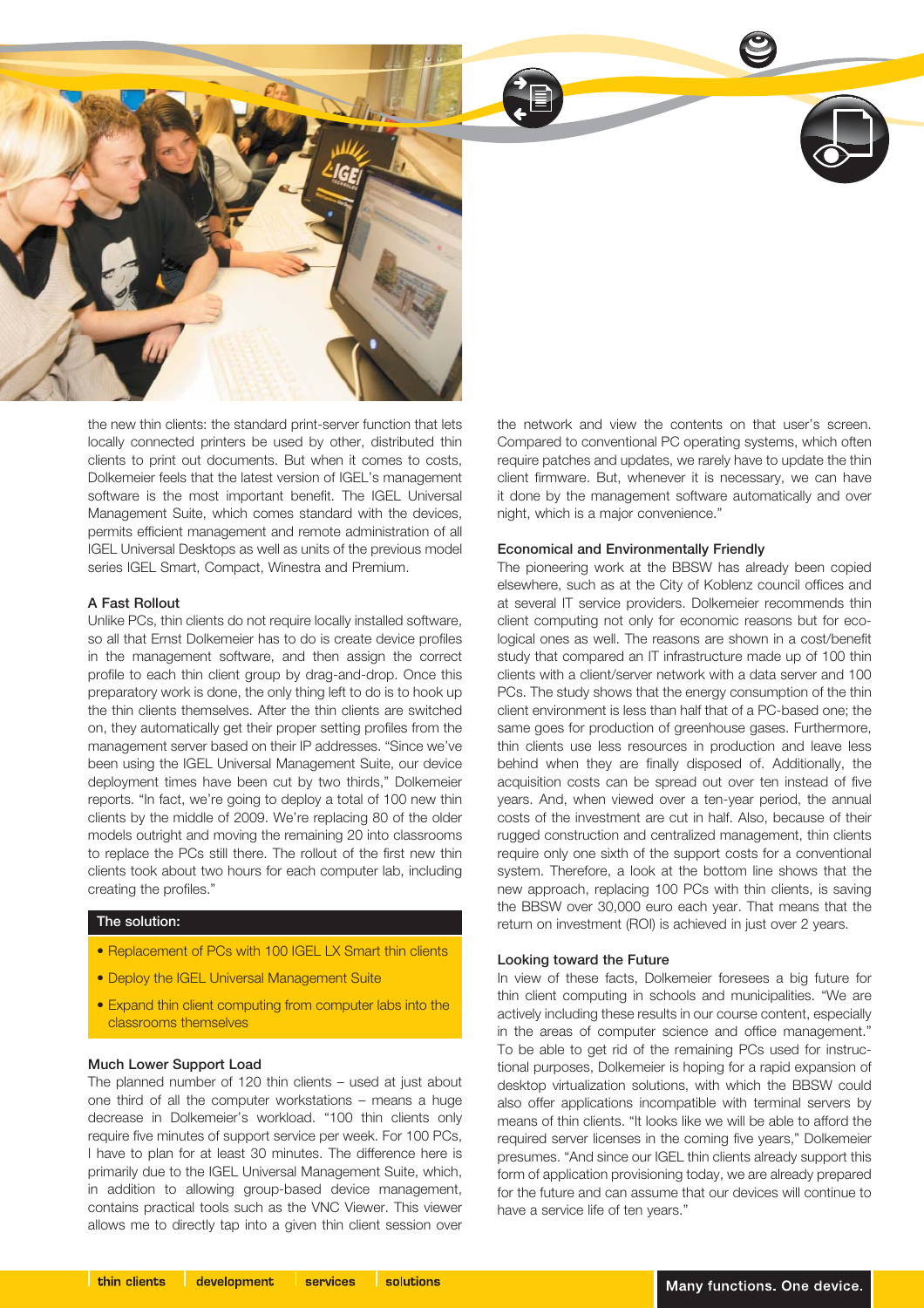

the new thin clients: the standard print-server function that lets locally connected printers be used by other, distributed thin clients to print out documents. But when it comes to costs, Dolkemeier feels that the latest version of IGEL's management software is the most important benefit. The IGEL Universal Management Suite, which comes standard with the devices, permits efficient management and remote administration of all IGEL Universal Desktops as well as units of the previous model series IGEL Smart, Compact, Winestra and Premium.

#### A Fast Rollout

Unlike PCs, thin clients do not require locally installed software, so all that Ernst Dolkemeier has to do is create device profiles in the management software, and then assign the correct profile to each thin client group by drag-and-drop. Once this preparatory work is done, the only thing left to do is to hook up the thin clients themselves. After the thin clients are switched on, they automatically get their proper setting profiles from the management server based on their IP addresses. "Since we've been using the IGEL Universal Management Suite, our device deployment times have been cut by two thirds," Dolkemeier reports. "In fact, we're going to deploy a total of 100 new thin clients by the middle of 2009. We're replacing 80 of the older models outright and moving the remaining 20 into classrooms to replace the PCs still there. The rollout of the first new thin clients took about two hours for each computer lab, including creating the profiles."

#### The solution:

- Replacement of PCs with 100 IGEL LX Smart thin clients
- Deploy the IGEL Universal Management Suite
- Expand thin client computing from computer labs into the classrooms themselves

#### Much Lower Support Load

The planned number of 120 thin clients – used at just about one third of all the computer workstations – means a huge decrease in Dolkemeier's workload. "100 thin clients only require five minutes of support service per week. For 100 PCs, I have to plan for at least 30 minutes. The difference here is primarily due to the IGEL Universal Management Suite, which, in addition to allowing group-based device management, contains practical tools such as the VNC Viewer. This viewer allows me to directly tap into a given thin client session over

the network and view the contents on that user's screen. Compared to conventional PC operating systems, which often require patches and updates, we rarely have to update the thin client firmware. But, whenever it is necessary, we can have it done by the management software automatically and over night, which is a major convenience."

#### Economical and Environmentally Friendly

The pioneering work at the BBSW has already been copied elsewhere, such as at the City of Koblenz council offices and at several IT service providers. Dolkemeier recommends thin client computing not only for economic reasons but for ecological ones as well. The reasons are shown in a cost/benefit study that compared an IT infrastructure made up of 100 thin clients with a client/server network with a data server and 100 PCs. The study shows that the energy consumption of the thin client environment is less than half that of a PC-based one; the same goes for production of greenhouse gases. Furthermore, thin clients use less resources in production and leave less behind when they are finally disposed of. Additionally, the acquisition costs can be spread out over ten instead of five years. And, when viewed over a ten-year period, the annual costs of the investment are cut in half. Also, because of their rugged construction and centralized management, thin clients require only one sixth of the support costs for a conventional system. Therefore, a look at the bottom line shows that the new approach, replacing 100 PCs with thin clients, is saving the BBSW over 30,000 euro each year. That means that the return on investment (ROI) is achieved in just over 2 years.

#### Looking toward the Future

In view of these facts, Dolkemeier foresees a big future for thin client computing in schools and municipalities. "We are actively including these results in our course content, especially in the areas of computer science and office management." To be able to get rid of the remaining PCs used for instructional purposes, Dolkemeier is hoping for a rapid expansion of desktop virtualization solutions, with which the BBSW could also offer applications incompatible with terminal servers by means of thin clients. "It looks like we will be able to afford the required server licenses in the coming five years," Dolkemeier presumes. "And since our IGEL thin clients already support this form of application provisioning today, we are already prepared for the future and can assume that our devices will continue to have a service life of ten years."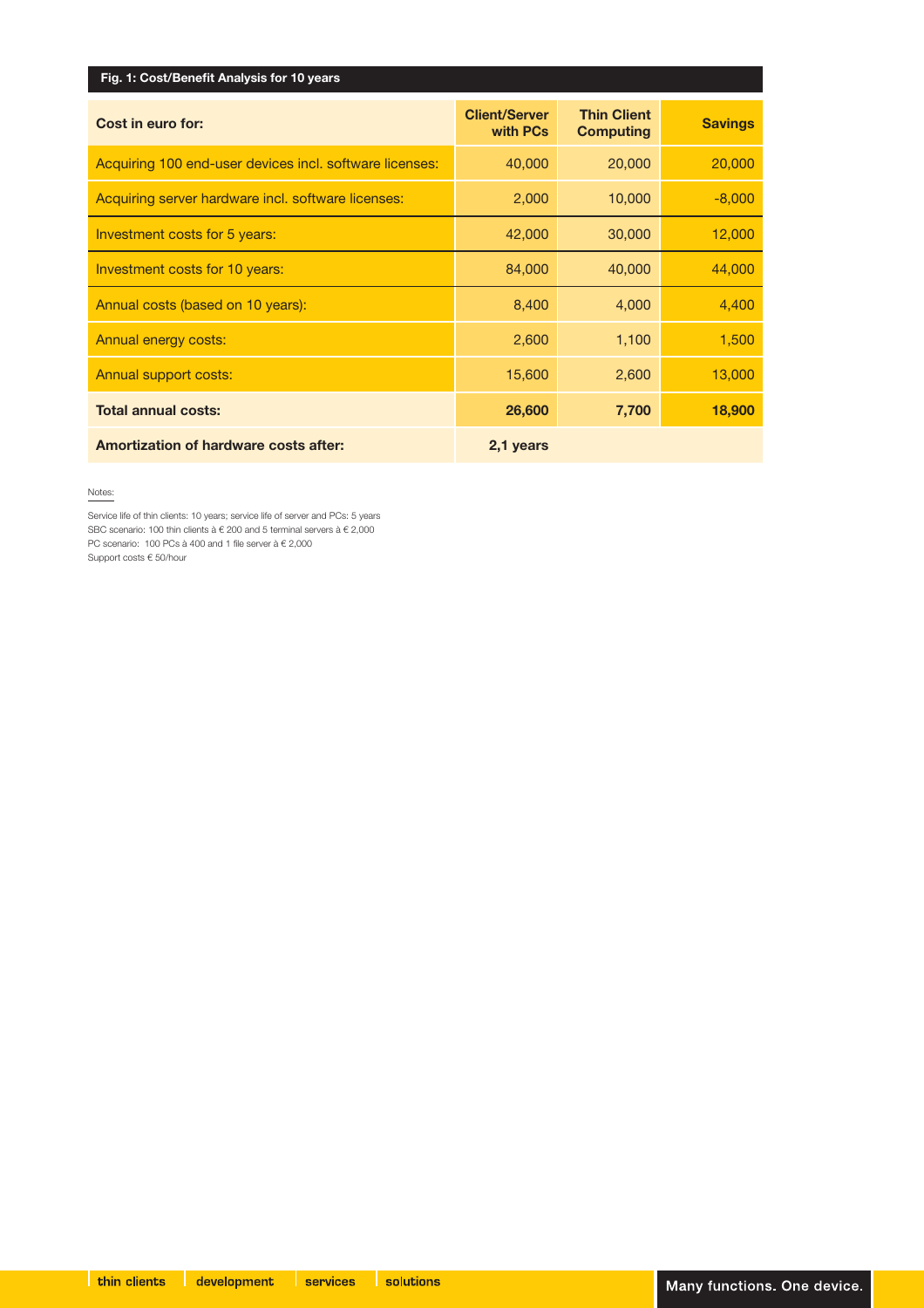| Fig. 1: Cost/Benefit Analysis for 10 years              |                                  |                                        |                |  |
|---------------------------------------------------------|----------------------------------|----------------------------------------|----------------|--|
| Cost in euro for:                                       | <b>Client/Server</b><br>with PCs | <b>Thin Client</b><br><b>Computing</b> | <b>Savings</b> |  |
| Acquiring 100 end-user devices incl. software licenses: | 40,000                           | 20,000                                 | 20,000         |  |
| Acquiring server hardware incl. software licenses:      | 2,000                            | 10,000                                 | $-8,000$       |  |
| Investment costs for 5 years:                           | 42,000                           | 30,000                                 | 12,000         |  |
| Investment costs for 10 years:                          | 84,000                           | 40,000                                 | 44,000         |  |
| Annual costs (based on 10 years):                       | 8,400                            | 4,000                                  | 4,400          |  |
| Annual energy costs:                                    | 2,600                            | 1,100                                  | 1,500          |  |
| Annual support costs:                                   | 15,600                           | 2,600                                  | 13,000         |  |
| <b>Total annual costs:</b>                              | 26,600                           | 7,700                                  | 18,900         |  |
| <b>Amortization of hardware costs after:</b>            | 2,1 years                        |                                        |                |  |

Notes:

Service life of thin clients: 10 years; service life of server and PCs: 5 years SBC scenario: 100 thin clients à € 200 and 5 terminal servers à € 2,000 PC scenario: 100 PCs à 400 and 1 file server à  $\in$  2,000 Support costs € 50/hour